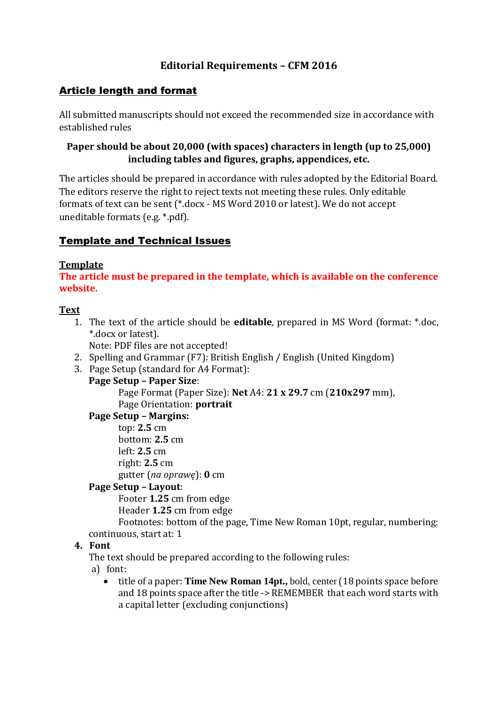# **Editorial Requirements – CFM 2016**

# Article length and format

All submitted manuscripts should not exceed the recommended size in accordance with established rules

## **Paper should be about 20,000 (with spaces) characters in length (up to 25,000) including tables and figures, graphs, appendices, etc.**

The articles should be prepared in accordance with rules adopted by the Editorial Board. The editors reserve the right to reject texts not meeting these rules. Only editable formats of text can be sent (\*.docx ‐ MS Word 2010 or latest). We do not accept uneditable formats (e.g. \*.pdf).

# Template and Technical Issues

## **Template**

**The article must be prepared in the template, which is available on the conference website.**

## **Text**

1. The text of the article should be **editable**, prepared in MS Word (format: \*.doc, \*.docx or latest).

Note: PDF files are not accepted!

- 2. Spelling and Grammar (F7): British English / English (United Kingdom)
- 3. Page Setup (standard for A4 Format):
	- **Page Setup – Paper Size**:

Page Format (Paper Size): **Net** A4: **21 x 29.7** cm (**210x297** mm), Page Orientation: **portrait**

## **Page Setup – Margins:**

top: **2.5** cm bottom: **2.5** cm left: **2.5** cm right: **2.5** cm gutter (*na oprawę*): **0** cm

## **Page Setup – Layout**:

Footer **1.25** cm from edge Header **1.25** cm from edge

Footnotes: bottom of the page, Time New Roman 10pt, regular, numbering: continuous, start at: 1

## **4. Font**

The text should be prepared according to the following rules:

- a) font:
	- title of a paper: **Time New Roman 14pt.,** bold, center(18 points space before and 18 points space after the title -> REMEMBER that each word starts with a capital letter (excluding conjunctions)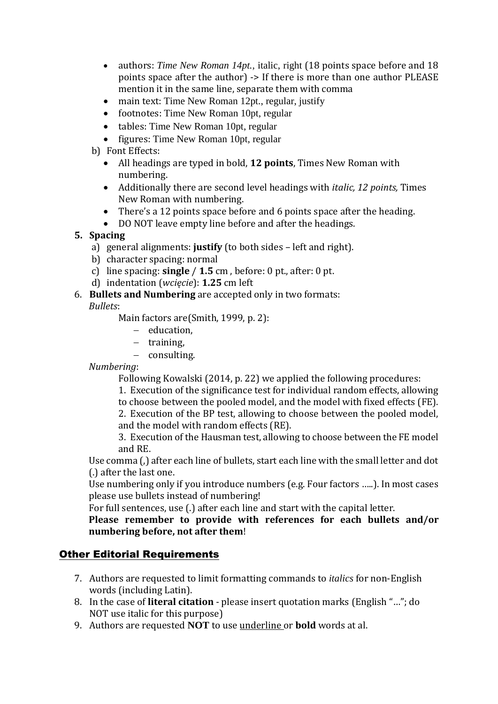- authors: *Time New Roman 14pt.*, italic, right (18 points space before and 18 points space after the author) -> If there is more than one author PLEASE mention it in the same line, separate them with comma
- main text: Time New Roman 12pt., regular, justify
- footnotes: Time New Roman 10pt, regular
- tables: Time New Roman 10pt, regular
- figures: Time New Roman 10pt, regular
- b) Font Effects:
	- All headings are typed in bold, **12 points**, Times New Roman with numbering.
	- Additionally there are second level headings with *italic, 12 points,* Times New Roman with numbering.
	- There's a 12 points space before and 6 points space after the heading.
	- DO NOT leave empty line before and after the headings.

## **5. Spacing**

- a) general alignments: **justify** (to both sides left and right).
- b) character spacing: normal
- c) line spacing: **single** / **1.5** cm , before: 0 pt., after: 0 pt.
- d) indentation (*wcięcie*): **1.25** cm left
- 6. **Bullets and Numbering** are accepted only in two formats:

*Bullets*:

Main factors are(Smith, 1999, p. 2):

- $-$  education,
- $-$  training,
- consulting.

*Numbering*:

Following Kowalski (2014, p. 22) we applied the following procedures:

- 1. Execution of the significance test for individual random effects, allowing
- to choose between the pooled model, and the model with fixed effects (FE).
- 2. Execution of the BP test, allowing to choose between the pooled model, and the model with random effects (RE).

3. Execution of the Hausman test, allowing to choose between the FE model and RE.

Use comma (,) after each line of bullets, start each line with the small letter and dot (.) after the last one.

Use numbering only if you introduce numbers (e.g. Four factors …..). In most cases please use bullets instead of numbering!

For full sentences, use (.) after each line and start with the capital letter.

**Please remember to provide with references for each bullets and/or numbering before, not after them**!

# Other Editorial Requirements

- 7. Authors are requested to limit formatting commands to *italics* for non‐English words (including Latin).
- 8. In the case of **literal citation** please insert quotation marks (English "…"; do NOT use italic for this purpose)
- 9. Authors are requested **NOT** to use underline or **bold** words at al.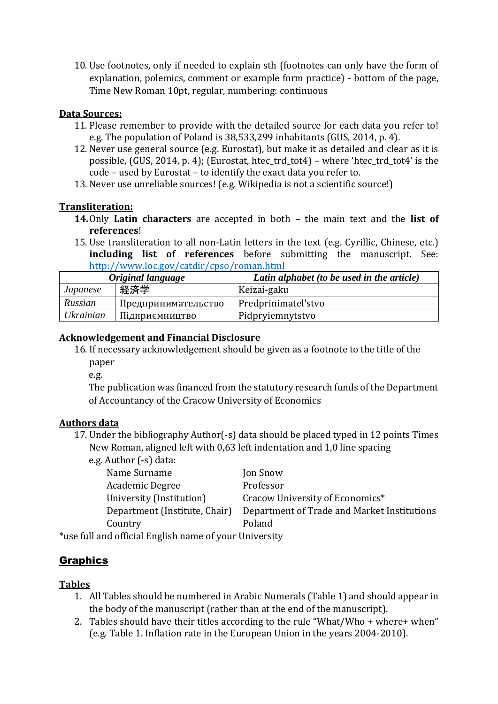10. Use footnotes, only if needed to explain sth (footnotes can only have the form of explanation, polemics, comment or example form practice) - bottom of the page, Time New Roman 10pt, regular, numbering: continuous

#### **Data Sources:**

- 11. Please remember to provide with the detailed source for each data you refer to! e.g. The population of Poland is 38,533,299 inhabitants (GUS, 2014, p. 4).
- 12. Never use general source (e.g. Eurostat), but make it as detailed and clear as it is possible, (GUS, 2014, p. 4); (Eurostat, htec\_trd\_tot4) – where 'htec\_trd\_tot4' is the code – used by Eurostat – to identify the exact data you refer to.
- 13. Never use unreliable sources! (e.g. Wikipedia is not a scientific source!)

#### **Transliteration:**

- **14.**Only **Latin characters** are accepted in both the main text and the **list of references**!
- 15. Use transliteration to all non‐Latin letters in the text (e.g. Cyrillic, Chinese, etc.) **including list of references** before submitting the manuscript. See: <http://www.loc.gov/catdir/cpso/roman.html>

| Original language |                     | Latin alphabet (to be used in the article) |
|-------------------|---------------------|--------------------------------------------|
| <i>Japanese</i>   | 経済学                 | Keizai-gaku                                |
| Russian           | Предпринимательство | Predprinimatel'stvo                        |
| <i>Ukrainian</i>  | Підприємництво      | Pidpryiemnytstvo                           |

#### **Acknowledgement and Financial Disclosure**

- 16. If necessary acknowledgement should be given as a footnote to the title of the paper
	-

e.g.

The publication was financed from the statutory research funds of the Department of Accountancy of the Cracow University of Economics

## **Authors data**

- 17. Under the bibliography Author(-s) data should be placed typed in 12 points Times New Roman, aligned left with 0,63 left indentation and 1,0 line spacing
	- e.g. Author (-s) data:
		- Name Surname Jon Snow Academic Degree Professor Country Poland

University (Institution) Cracow University of Economics\* Department (Institute, Chair) Department of Trade and Market Institutions

\*use full and official English name of your University

# **Graphics**

# **Tables**

- 1. All Tables should be numbered in Arabic Numerals (Table 1) and should appear in the body of the manuscript (rather than at the end of the manuscript).
- 2. Tables should have their titles according to the rule "What/Who + where+ when" (e.g. Table 1. Inflation rate in the European Union in the years 2004‐2010).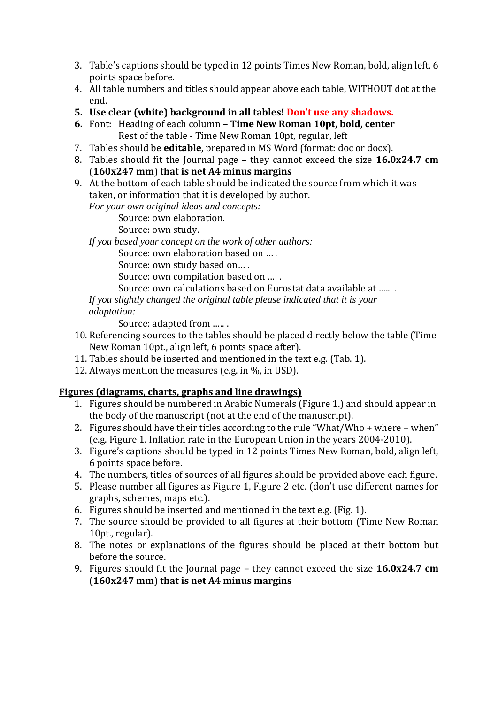- 3. Table's captions should be typed in 12 points Times New Roman, bold, align left, 6 points space before.
- 4. All table numbers and titles should appear above each table, WITHOUT dot at the end.
- **5. Use clear (white) background in all tables! Don't use any shadows.**
- **6.** Font: Heading of each column **Time New Roman 10pt, bold, center** Rest of the table - Time New Roman 10pt, regular, left
- 7. Tables should be **editable**, prepared in MS Word (format: doc or docx).
- 8. Tables should fit the Journal page they cannot exceed the size **16.0x24.7 cm**  (**160x247 mm**) **that is net A4 minus margins**
- 9. At the bottom of each table should be indicated the source from which it was taken, or information that it is developed by author.

*For your own original ideas and concepts:*

Source: own elaboration.

Source: own study.

*If you based your concept on the work of other authors:*

Source: own elaboration based on … .

Source: own study based on… .

Source: own compilation based on … .

Source: own calculations based on Eurostat data available at ….. .

*If you slightly changed the original table please indicated that it is your adaptation:* 

Source: adapted from ….. .

- 10. Referencing sources to the tables should be placed directly below the table (Time New Roman 10pt., align left, 6 points space after).
- 11. Tables should be inserted and mentioned in the text e.g. (Tab. 1).
- 12. Always mention the measures (e.g. in %, in USD).

## **Figures (diagrams, charts, graphs and line drawings)**

- 1. Figures should be numbered in Arabic Numerals (Figure 1.) and should appear in the body of the manuscript (not at the end of the manuscript).
- 2. Figures should have their titles according to the rule "What/Who + where + when" (e.g. Figure 1. Inflation rate in the European Union in the years 2004‐2010).
- 3. Figure's captions should be typed in 12 points Times New Roman, bold, align left, 6 points space before.
- 4. The numbers, titles of sources of all figures should be provided above each figure.
- 5. Please number all figures as Figure 1, Figure 2 etc. (don't use different names for graphs, schemes, maps etc.).
- 6. Figures should be inserted and mentioned in the text e.g. (Fig. 1).
- 7. The source should be provided to all figures at their bottom (Time New Roman 10pt., regular).
- 8. The notes or explanations of the figures should be placed at their bottom but before the source.
- 9. Figures should fit the Journal page they cannot exceed the size **16.0x24.7 cm**  (**160x247 mm**) **that is net A4 minus margins**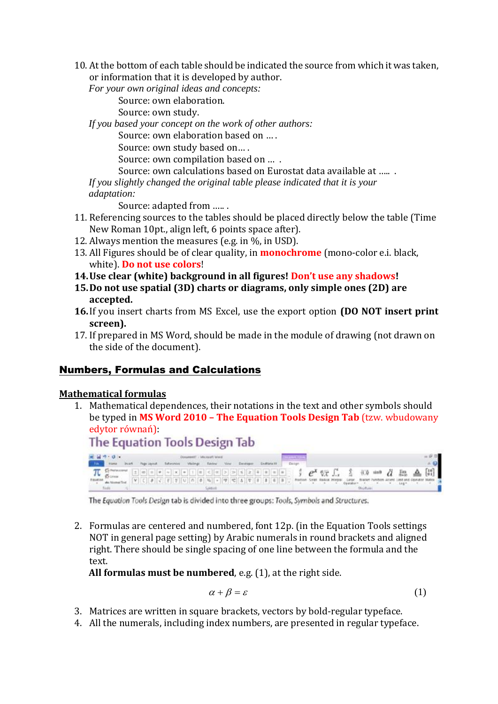10. At the bottom of each table should be indicated the source from which it was taken, or information that it is developed by author.

*For your own original ideas and concepts:*

Source: own elaboration.

Source: own study.

*If you based your concept on the work of other authors:*

Source: own elaboration based on … .

Source: own study based on… .

Source: own compilation based on … .

Source: own calculations based on Eurostat data available at ….. .

*If you slightly changed the original table please indicated that it is your adaptation:* 

Source: adapted from ….. .

- 11. Referencing sources to the tables should be placed directly below the table (Time New Roman 10pt., align left, 6 points space after).
- 12. Always mention the measures (e.g. in %, in USD).
- 13. All Figures should be of clear quality, in **monochrome** (mono‐color e.i. black, white). **Do not use colors**!
- **14.Use clear (white) background in all figures! Don't use any shadows!**
- **15.Do not use spatial (3D) charts or diagrams, only simple ones (2D) are accepted.**
- **16.**If you insert charts from MS Excel, use the export option **(DO NOT insert print screen).**
- 17. If prepared in MS Word, should be made in the module of drawing (not drawn on the side of the document).

# Numbers, Formulas and Calculations

#### **Mathematical formulas**

1. Mathematical dependences, their notations in the text and other symbols should be typed in **MS Word 2010 – The Equation Tools Design Tab** (tzw. wbudowany edytor równań):

**The Equation Tools Design Tab** 前日 やっぱん

**HETCH FORD DUCK IN**  $\frac{1}{\sqrt{1-\sum_{i=1}^{n} \sum_{i=1}^{n} \sum_{j=1}^{n} \sum_{j=1}^{n} \sum_{j=1}^{n} \sum_{j=1}^{n} \sum_{j=1}^{n} \sum_{j=1}^{n} \sum_{j=1}^{n} \sum_{j=1}^{n} \sum_{j=1}^{n} \sum_{j=1}^{n} \sum_{j=1}^{n} \sum_{j=1}^{n} \sum_{j=1}^{n} \sum_{j=1}^{n} \sum_{j=1}^{n} \sum_{j=1}^{n} \sum_{j=1}^{n} \sum_{j=1}^{n} \sum_{j=1}^{n} \$ 

The Equation Tools Design tab is divided into three groups: Tools, Symbols and Structures.

2. Formulas are centered and numbered, font 12p. (in the Equation Tools settings NOT in general page setting) by Arabic numerals in round brackets and aligned right. There should be single spacing of one line between the formula and the text.

**All formulas must be numbered**, e.g. (1), at the right side.

$$
\alpha + \beta = \varepsilon \tag{1}
$$

- 3. Matrices are written in square brackets, vectors by bold‐regular typeface.
- 4. All the numerals, including index numbers, are presented in regular typeface.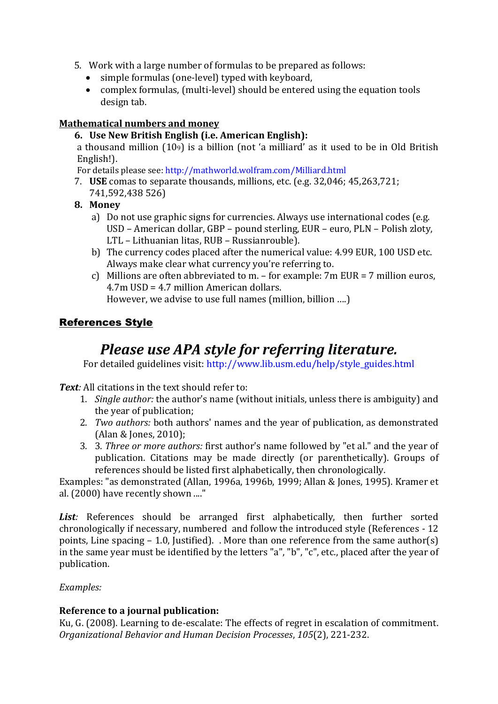- 5. Work with a large number of formulas to be prepared as follows:
	- simple formulas (one‐level) typed with keyboard,
	- complex formulas, (multi‐level) should be entered using the equation tools design tab.

#### **Mathematical numbers and money**

**6. Use New British English (i.e. American English):**

a thousand million (109) is a billion (not 'a milliard' as it used to be in Old British English!).

For details please see: http://mathworld.wolfram.com/Milliard.html

- 7. **USE** comas to separate thousands, millions, etc. (e.g. 32,046; 45,263,721; 741,592,438 526)
- **8. Money**
	- a) Do not use graphic signs for currencies. Always use international codes (e.g. USD – American dollar, GBP – pound sterling, EUR – euro, PLN – Polish zloty, LTL – Lithuanian litas, RUB – Russianrouble).
	- b) The currency codes placed after the numerical value: 4.99 EUR, 100 USD etc. Always make clear what currency you're referring to.
	- c) Millions are often abbreviated to m. for example: 7m EUR = 7 million euros, 4.7m USD = 4.7 million American dollars.

However, we advise to use full names (million, billion ….)

# References Style

# *Please use APA style for referring literature.*

For detailed guidelines visit: http://www.lib.usm.edu/help/style\_guides.html

*Text:* All citations in the text should refer to:

- 1. *Single author:* the author's name (without initials, unless there is ambiguity) and the year of publication;
- 2. *Two authors:* both authors' names and the year of publication, as demonstrated (Alan & Jones, 2010);
- 3. 3. *Three or more authors:* first author's name followed by "et al." and the year of publication. Citations may be made directly (or parenthetically). Groups of references should be listed first alphabetically, then chronologically.

Examples: "as demonstrated (Allan, 1996a, 1996b, 1999; Allan & Jones, 1995). Kramer et al. (2000) have recently shown ...."

List: References should be arranged first alphabetically, then further sorted chronologically if necessary, numbered and follow the introduced style (References - 12 points, Line spacing  $-1.0$ , Justified). . More than one reference from the same author(s) in the same year must be identified by the letters "a", "b", "c", etc., placed after the year of publication.

#### *Examples:*

## **Reference to a journal publication:**

Ku, G. (2008). Learning to de‐escalate: The effects of regret in escalation of commitment. *Organizational Behavior and Human Decision Processes*, *105*(2), 221‐232.